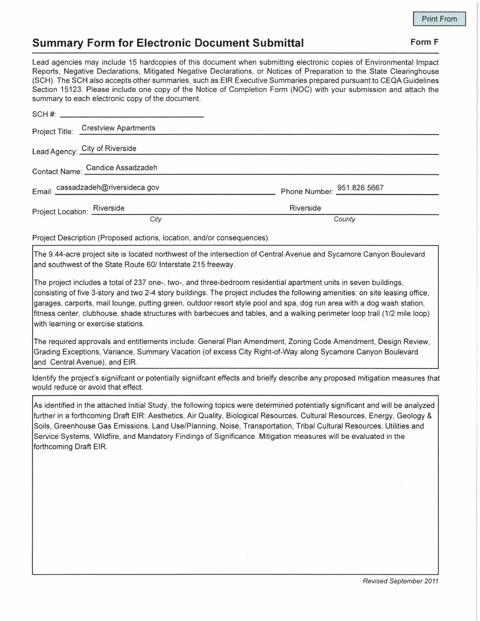## **Summary Form for Electronic Document Submittal Form F Form F**

Lead agencies may include 15 hardcopies of this document when submitting electronic copies of Environmental Impact Reports , Negative Declarations, Mitigated Negative Declarations, or Notices of Preparation to the State Clearinghouse (SCH). The SCH also accepts other summaries, such as EIR Executive Summaries prepared pursuant to CEQA Guidelines Section 15123. Please include one copy of the Notice of Completion Form (NOC) with your submission and attach the summary to each electronic copy of the document.

|                | carminary to odon crootronno oopy of the accentront. |           |                            |  |  |
|----------------|------------------------------------------------------|-----------|----------------------------|--|--|
| Project Title: | <b>Crestview Apartments</b>                          |           |                            |  |  |
|                | Lead Agency: City of Riverside                       |           |                            |  |  |
|                | Contact Name: Candice Assadzadeh                     |           |                            |  |  |
|                | Email: cassadzadeh@riversideca.gov                   |           | Phone Number: 951.826.5667 |  |  |
|                | Project Location: Riverside                          | Riverside |                            |  |  |
|                | City                                                 |           | County                     |  |  |

Project Description (Proposed actions, location, and/or consequences).

The 9.44-acre project site is located northwest of the intersection of Central Avenue and Sycamore Canyon Boulevard and southwest of the State Route 60/ Interstate 215 freeway.

The project includes a total of 237 one-, two-, and three-bedroom residential apartment units in seven buildings, consisting of five 3-story and two 2-4 story buildings. The project includes the following amenities: on site leasing office, garages, carports, mail lounge, putting green, outdoor resort style pool and spa, dog run area with a dog wash station, fitness center, clubhouse, shade structures with barbecues and tables, and a walking perimeter loop trail (1/2 mile loop) with learning or exercise stations.

The required approvals and entitlements include: General Plan Amendment, Zoning Code Amendment, Design Review, Grading Exceptions, Variance, Summary Vacation (of excess City Right-of-Way along Sycamore Canyon Boulevard and Central Avenue), and EIR.

Identify the project's signiifcant or potentially signiifcant effects and brielfy describe any proposed mitigation measures that would reduce or avoid that effect.

As identified in the attached Initial Study, the following topics were determined potentially significant and will be analyzed further in a forthcoming Draft EIR: Aesthetics, Air Quality, Biological Resources, Cultural Resources, Energy, Geology & Soils, Greenhouse Gas Emissions, Land Use/Planning, Noise, Transportation, Tribal Cultural Resources, Utilities and Service Systems, Wildfire, and Mandatory Findings of Significance. Mitigation measures will be evaluated in the forthcoming Draft EIR.